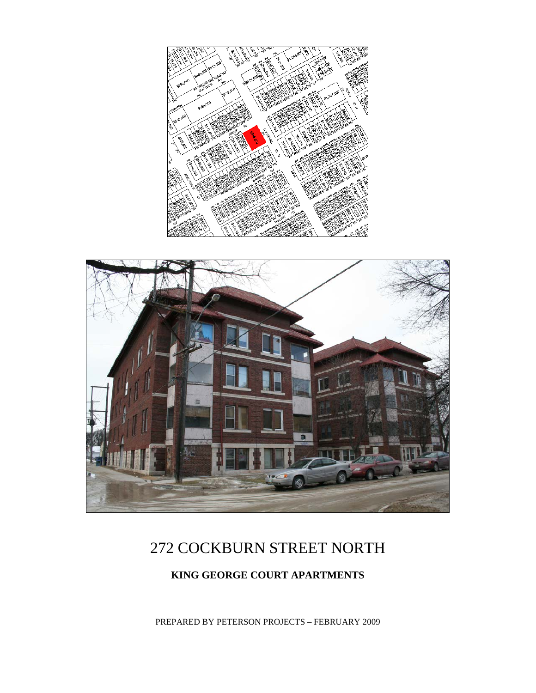



# 272 COCKBURN STREET NORTH

## **KING GEORGE COURT APARTMENTS**

PREPARED BY PETERSON PROJECTS – FEBRUARY 2009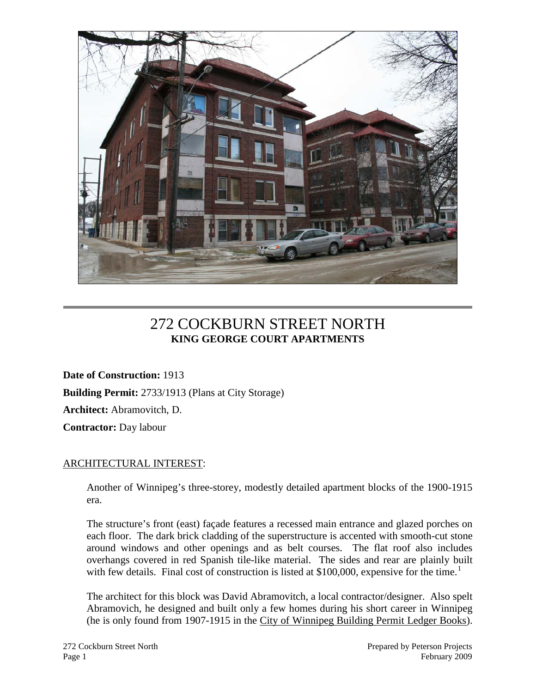

## 272 COCKBURN STREET NORTH **KING GEORGE COURT APARTMENTS**

**Date of Construction:** 1913 **Building Permit:** 2733/1913 (Plans at City Storage) **Architect:** Abramovitch, D. **Contractor:** Day labour

## ARCHITECTURAL INTEREST:

Another of Winnipeg's three-storey, modestly detailed apartment blocks of the 1900-1915 era.

The structure's front (east) façade features a recessed main entrance and glazed porches on each floor. The dark brick cladding of the superstructure is accented with smooth-cut stone around windows and other openings and as belt courses. The flat roof also includes overhangs covered in red Spanish tile-like material. The sides and rear are plainly built with few details. Final cost of construction is listed at \$[1](#page-3-0)00,000, expensive for the time.<sup>1</sup>

The architect for this block was David Abramovitch, a local contractor/designer. Also spelt Abramovich, he designed and built only a few homes during his short career in Winnipeg (he is only found from 1907-1915 in the City of Winnipeg Building Permit Ledger Books).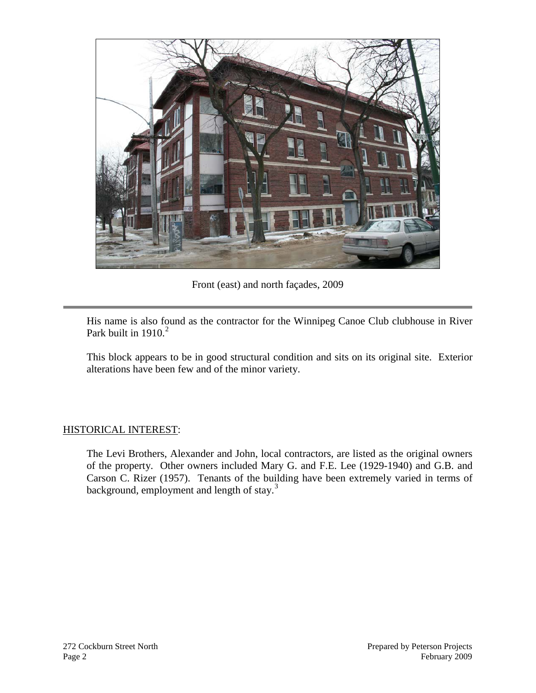

Front (east) and north façades, 2009

His name is also found as the contractor for the Winnipeg Canoe Club clubhouse in River Park built in  $1910.<sup>2</sup>$  $1910.<sup>2</sup>$  $1910.<sup>2</sup>$ 

This block appears to be in good structural condition and sits on its original site. Exterior alterations have been few and of the minor variety.

### HISTORICAL INTEREST:

The Levi Brothers, Alexander and John, local contractors, are listed as the original owners of the property. Other owners included Mary G. and F.E. Lee (1929-1940) and G.B. and Carson C. Rizer (1957). Tenants of the building have been extremely varied in terms of background, employment and length of stay.<sup>[3](#page-3-2)</sup>